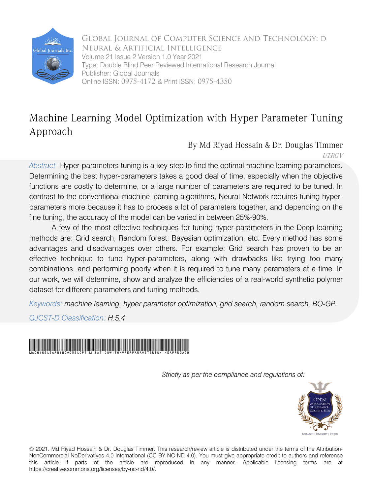

Global Journal of Computer Science and Technology: D Neural & Artificial Intelligence Volume 21 Issue 2 Version 1.0 Year 2021 Type: Double Blind Peer Reviewed International Research Journal Publisher: Global Journals Online ISSN: 0975-4172 & Print ISSN: 0975-4350

# Machine Learning Model Optimization with Hyper Parameter Tuning Approach

By Md Riyad Hossain & Dr. Douglas Timmer UTRGV

*Abstract-* Hyper-parameters tuning is a key step to find the optimal machine learning parameters. Determining the best hyper-parameters takes a good deal of time, especially when the objective functions are costly to determine, or a large number of parameters are required to be tuned. In contrast to the conventional machine learning algorithms, Neural Network requires tuning hyperparameters more because it has to process a lot of parameters together, and depending on the fine tuning, the accuracy of the model can be varied in between 25%-90%.

A few of the most effective techniques for tuning hyper-parameters in the Deep learning methods are: Grid search, Random forest, Bayesian optimization, etc. Every method has some advantages and disadvantages over others. For example: Grid search has proven to be an effective technique to tune hyper-parameters, along with drawbacks like trying too many combinations, and performing poorly when it is required to tune many parameters at a time. In our work, we will determine, show and analyze the efficiencies of a real-world synthetic polymer dataset for different parameters and tuning methods.

*Keywords: machine learning, hyper parameter optimization, grid search, random search, BO-GP.* 

*GJCST-D Classification: H.5.4*



 *Strictly as per the compliance and regulations of:*



© 2021. Md Riyad Hossain & Dr. Douglas Timmer. This research/review article is distributed under the terms of the Attribution-NonCommercial-NoDerivatives 4.0 International (CC BY-NC-ND 4.0). You must give appropriate credit to authors and reference this article if parts of the article are reproduced in any manner. Applicable licensing terms are at https://creativecommons.org/licenses/by-nc-nd/4.0/.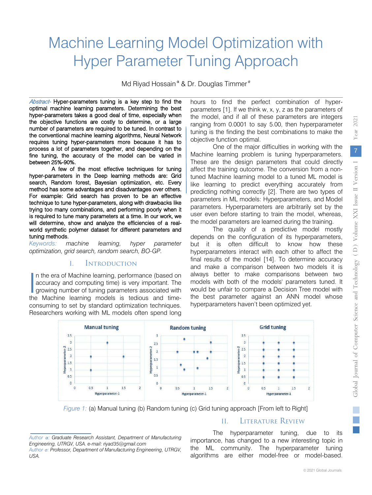# Machine Learning Model Optimization with Hyper Parameter Tuning Approach

Md Riyad Hossain<sup>α</sup> & Dr. Douglas Timmer<sup>σ</sup>

Abstract- Hyper-parameters tuning is a key step to find the optimal machine learning parameters. Determining the best hyper-parameters takes a good deal of time, especially when the objective functions are costly to determine, or a large number of parameters are required to be tuned. In contrast to the conventional machine learning algorithms, Neural Network requires tuning hyper-parameters more because it has to process a lot of parameters together, and depending on the fine tuning, the accuracy of the model can be varied in between 25%-90%.

A few of the most effective techniques for tuning hyper-parameters in the Deep learning methods are: Grid search, Random forest, Bayesian optimization, etc. Every method has some advantages and disadvantages over others. For example: Grid search has proven to be an effective technique to tune hyper-parameters, along with drawbacks like trying too many combinations, and performing poorly when it is required to tune many parameters at a time. In our work, we will determine, show and analyze the efficiencies of a realworld synthetic polymer dataset for different parameters and tuning methods.

*Keywords: machine learning, hyper parameter optimization, grid search, random search, BO-GP.* 

#### I. Introduction

n the era of Machine learning, performance (based on accuracy and computing time) is very important. The growing number of tuning parameters associated with In the era of Machine learning, performance (based on accuracy and computing time) is very important. The growing number of tuning parameters associated with the Machine learning models is tedious and timeconsuming to set by standard optimization techniques. Researchers working with ML models often spend long

hours to find the perfect combination of hyperparameters [1]. If we think w, x, y, z as the parameters of the model, and if all of these parameters are integers ranging from 0.0001 to say 5.00, then hyperparameter tuning is the finding the best combinations to make the objective function optimal.

One of the major difficulties in working with the Machine learning problem is tuning hyperparameters. These are the design parameters that could directly affect the training outcome. The conversion from a nontuned Machine learning model to a tuned ML model is like learning to predict everything accurately from predicting nothing correctly [2]. There are two types of parameters in ML models: Hyperparameters, and Model parameters. Hyperparameters are arbitrarily set by the user even before starting to train the model, whereas, the model parameters are learned during the training.

The quality of a predictive model mostly depends on the configuration of its hyperparameters, but it is often difficult to know how these hyperparameters interact with each other to affect the final results of the model [14]. To determine accuracy and make a comparison between two models it is always better to make comparisons between two models with both of the models' parameters tuned. It would be unfair to compare a Decision Tree model with the best parameter against an ANN model whose hyperparameters haven't been optimized yet.



*Figure 1: (a) Manual tuning (b) Random tuning (c) Grid tuning approach [From left to Right]* 

### II. Literature Review

The hyperparameter tuning, due to its importance, has changed to a new interesting topic in the ML community. The hyperparameter tuning algorithms are either model-free or model-based.

*Author α: Graduate Research Assistant, Department of Manufacturing Engineering, UTRGV, USA. e-mail: riyad35@gmail.com Author σ: Professor, Department of Manufacturing Engineering, UTRGV, USA.*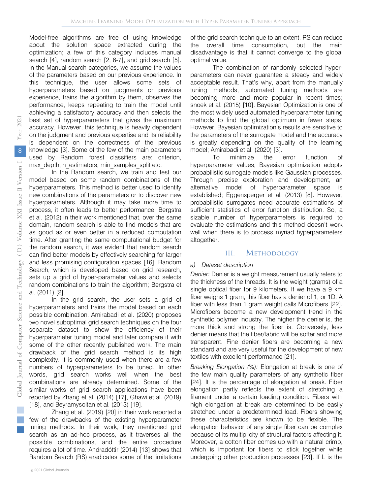Model-free algorithms are free of using knowledge about the solution space extracted during the optimization; a few of this category includes manual search [4], random search [2, 6-7], and grid search [5]. In the Manual search categories, we assume the values of the parameters based on our previous experience. In this technique, the user allows some sets of hyperparameters based on judgments or previous experience, trains the algorithm by them, observes the performance, keeps repeating to train the model until achieving a satisfactory accuracy and then selects the best set of hyperparameters that gives the maximum accuracy. However, this technique is heavily dependent on the judgment and previous expertise and its reliability is dependent on the correctness of the previous knowledge [3]. Some of the few of the main parameters used by Random forest classifiers are: criterion, max depth, n\_estimators, min\_samples\_split etc.

In the Random search, we train and test our model based on some random combinations of the hyperparameters. This method is better used to identify new combinations of the parameters or to discover new hyperparameters. Although it may take more time to process, it often leads to better performance. Bergstra et al. (2012) in their work mentioned that, over the same domain, random search is able to find models that are as good as or even better in a reduced computation time. After granting the same computational budget for the random search, it was evident that random search can find better models by effectively searching for larger and less promising configuration spaces [16]. Random Search, which is developed based on grid research, sets up a grid of hyper-parameter values and selects random combinations to train the algorithm; Bergstra et al. (2011) [2].

In the grid search, the user sets a grid of hyperparameters and trains the model based on each possible combination. Amirabadi et al. (2020) proposes two novel suboptimal grid search techniques on the four separate dataset to show the efficiency of their hyperparameter tuning model and later compare it with some of the other recently published work. The main drawback of the grid search method is its high complexity. It is commonly used when there are a few numbers of hyperparameters to be tuned. In other words, grid search works well when the best combinations are already determined. Some of the similar works of grid search applications have been reported by Zhang et al. (2014) [17], Ghawi et al. (2019) [18], and Beyramysoltan et al. (2013) [19].

Zhang et al. (2019) [20] in their work reported a few of the drawbacks of the existing hyperparameter tuning methods. In their work, they mentioned grid search as an ad-hoc process, as it traverses all the possible combinations, and the entire procedure requires a lot of time. Andradóttir (2014) [13] shows that Random Search (RS) eradicates some of the limitations

of the grid search technique to an extent. RS can reduce the overall time consumption, but the main disadvantage is that it cannot converge to the global optimal value.

The combination of randomly selected hyperparameters can never guarantee a steady and widely acceptable result. That's why, apart from the manually tuning methods, automated tuning methods are becoming more and more popular in recent times; snoek et al. (2015) [10]. Bayesian Optimization is one of the most widely used automated hyperparameter tuning methods to find the global optimum in fewer steps. However, Bayesian optimization's results are sensitive to the parameters of the surrogate model and the accuracy is greatly depending on the quality of the learning model; Amirabadi et al. (2020) [3].

To minimize the error function of hyperparameter values, Bayesian optimization adopts probabilistic surrogate models like Gaussian processes. Through precise exploration and development, an alternative model of hyperparameter space is established; Eggensperger et al. (2013) [8]. However, probabilistic surrogates need accurate estimations of sufficient statistics of error function distribution. So, a sizable number of hyperparameters is required to evaluate the estimations and this method doesn't work well when there is to process myriad hyperparameters altogether.

#### III. Methodology

#### *a) Dataset description*

*Denier:* Denier is a weight measurement usually refers to the thickness of the threads. It is the weight (grams) of a single optical fiber for 9 kilometers. If we have a 9 km fiber weighs 1 gram, this fiber has a denier of 1, or 1D. A fiber with less than 1 gram weight calls Microfibers [22]. Microfibers become a new development trend in the synthetic polymer industry. The higher the denier is, the more thick and strong the fiber is. Conversely, less denier means that the fiber/fabric will be softer and more transparent. Fine denier fibers are becoming a new standard and are very useful for the development of new textiles with excellent performance [21].

*Breaking Elongation (%):* Elongation at break is one of the few main quality parameters of any synthetic fiber [24]. It is the percentage of elongation at break. Fiber elongation partly reflects the extent of stretching a filament under a certain loading condition. Fibers with high elongation at break are determined to be easily stretched under a predetermined load. Fibers showing these characteristics are known to be flexible. The elongation behavior of any single fiber can be complex because of its multiplicity of structural factors affecting it. Moreover, a cotton fiber comes up with a natural crimp, which is important for fibers to stick together while undergoing other production processes [23]. If L is the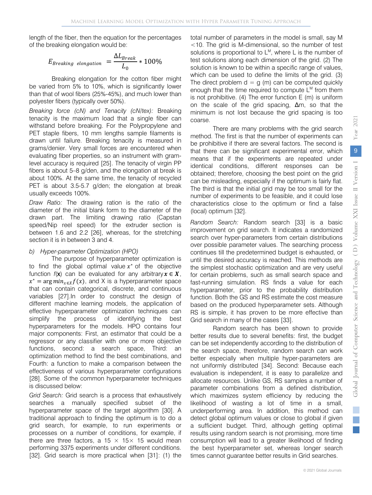length of the fiber, then the equation for the percentages of the breaking elongation would be:

$$
E_{Breaking\ elongation} = \frac{\Delta L_{Break}}{L_0} * 100\%
$$

Breaking elongation for the cotton fiber might be varied from 5% to 10%, which is significantly lower than that of wool fibers (25%-45%), and much lower than polyester fibers (typically over 50%).

*Breaking force (cN) and Tenacity (cN/tex):* Breaking tenacity is the maximum load that a single fiber can withstand before breaking. For the Polypropylene and PET staple fibers, 10 mm lengths sample filaments is drawn until failure. Breaking tenacity is measured in grams/denier. Very small forces are encountered when evaluating fiber properties, so an instrument with gramlevel accuracy is required [25]. The tenacity of virgin PP fibers is about 5–8 g/den, and the elongation at break is about 100%. At the same time, the tenacity of recycled PET is about 3.5-5.7 g/den; the elongation at break usually exceeds 100%.

*Draw Ratio:* The drawing ration is the ratio of the diameter of the initial blank form to the diameter of the drawn part. The limiting drawing ratio (Capstan speed/Nip reel speed) for the extruder section is between 1.6 and 2.2 [26], whereas, for the stretching section it is in between 3 and 4.

#### *b) Hyper-parameter Optimization (HPO)*

The purpose of hyperparameter optimization is to find the global optimal value  $x^*$  of the objective function  $f(x)$  can be evaluated for any arbitrary  $x \in X$ ,  $x^* = \arg min_{x \in X} f(x)$ , and X is a hyperparameter space that can contain categorical, discrete, and continuous variables [27].In order to construct the design of different machine learning models, the application of effective hyperparameter optimization techniques can simplify the process of identifying the best hyperparameters for the models. HPO contains four major components: First, an estimator that could be a regressor or any classifier with one or more objective functions, second: a search space, Third: an optimization method to find the best combinations, and Fourth: a function to make a comparison between the effectiveness of various hyperparameter configurations [28]. Some of the common hyperparameter techniques is discussed below:

*Grid Search:* Grid search is a process that exhaustively searches a manually specified subset of the hyperparameter space of the target algorithm [30]. A traditional approach to finding the optimum is to do a grid search, for example, to run experiments or processes on a number of conditions, for example, if there are three factors, a 15  $\times$  15  $\times$  15 would mean performing 3375 experiments under different conditions. [32]. Grid search is more practical when [31]: (1) the

total number of parameters in the model is small, say M <10. The grid is M-dimensional, so the number of test solutions is proportional to L<sup>M</sup>, where L is the number of test solutions along each dimension of the grid. (2) The solution is known to be within a specific range of values, which can be used to define the limits of the grid. (3) The direct problem  $d = g(m)$  can be computed quickly enough that the time required to compute  $L^M$  from them is not prohibitive. (4) The error function E (m) is uniform on the scale of the grid spacing, Δm, so that the minimum is not lost because the grid spacing is too coarse.

There are many problems with the grid search method. The first is that the number of experiments can be prohibitive if there are several factors. The second is that there can be significant experimental error, which means that if the experiments are repeated under identical conditions, different responses can be obtained; therefore, choosing the best point on the grid can be misleading, especially if the optimum is fairly flat. The third is that the initial grid may be too small for the number of experiments to be feasible, and it could lose characteristics close to the optimum or find a false (local) optimum [32].

*Random Search:* Random search [33] is a basic improvement on grid search. It indicates a randomized search over hyper-parameters from certain distributions over possible parameter values. The searching process continues till the predetermined budget is exhausted, or until the desired accuracy is reached. This methods are the simplest stochastic optimization and are very useful for certain problems, such as small search space and fast-running simulation. RS finds a value for each hyperparameter, prior to the probability distribution function. Both the GS and RS estimate the cost measure based on the produced hyperparameter sets. Although RS is simple, it has proven to be more effective than Grid search in many of the cases [33].

Random search has been shown to provide better results due to several benefits: first, the budget can be set independently according to the distribution of the search space, therefore, random search can work better especially when multiple hyper-parameters are not uniformly distributed [34]. Second: Because each evaluation is independent, it is easy to parallelize and allocate resources. Unlike GS, RS samples a number of parameter combinations from a defined distribution, which maximizes system efficiency by reducing the likelihood of wasting a lot of time in a small, underperforming area. In addition, this method can detect global optimum values or close to global if given a sufficient budget. Third, although getting optimal results using random search is not promising, more time consumption will lead to a greater likelihood of finding the best hyperparameter set, whereas longer search times cannot guarantee better results in Grid searches.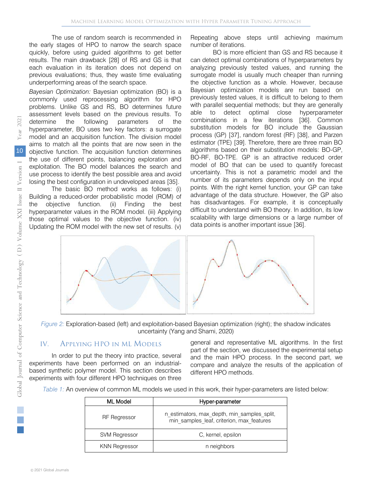results. The main drawback [28] of RS and GS is that The use of random search is recommended in the early stages of HPO to narrow the search space quickly, before using guided algorithms to get better each evaluation in its iteration does not depend on previous evaluations; thus, they waste time evaluating underperforming areas of the search space.

*Bayesian Optimization:* Bayesian optimization (BO) is a commonly used reprocessing algorithm for HPO problems. Unlike GS and RS, BO determines future assessment levels based on the previous results. To determine the following parameters of the hyperparameter, BO uses two key factors: a surrogate model and an acquisition function. The division model aims to match all the points that are now seen in the objective function. The acquisition function determines the use of different points, balancing exploration and exploitation. The BO model balances the search and use process to identify the best possible area and avoid losing the best configuration in undeveloped areas [35].

The basic BO method works as follows: (i) Building a reduced-order probabilistic model (ROM) of the objective function. (ii) Finding the best hyperparameter values in the ROM model. (iii) Applying those optimal values to the objective function. (iv) Updating the ROM model with the new set of results. (v)

Repeating above steps until achieving maximum number of iterations.

BO is more efficient than GS and RS because it can detect optimal combinations of hyperparameters by analyzing previously tested values, and running the surrogate model is usually much cheaper than running the objective function as a whole. However, because Bayesian optimization models are run based on previously tested values, it is difficult to belong to them with parallel sequential methods; but they are generally able to detect optimal close hyperparameter combinations in a few iterations [36]. Common substitution models for BO include the Gaussian process (GP) [37], random forest (RF) [38], and Parzen estimator (TPE) [39]. Therefore, there are three main BO algorithms based on their substitution models: BO-GP, BO-RF, BO-TPE. GP is an attractive reduced order model of BO that can be used to quantify forecast uncertainty. This is not a parametric model and the number of its parameters depends only on the input points. With the right kernel function, your GP can take advantage of the data structure. However, the GP also has disadvantages. For example, it is conceptually difficult to understand with BO theory. In addition, its low scalability with large dimensions or a large number of data points is another important issue [36].



*Figure 2:* Exploration-based (left) and exploitation-based Bayesian optimization (right); the shadow indicates uncertainty (Yang and Shami, 2020)

#### IV. Applying HPO in ML Models

In order to put the theory into practice, several experiments have been performed on an industrialbased synthetic polymer model. This section describes experiments with four different HPO techniques on three general and representative ML algorithms. In the first part of the section, we discussed the experimental setup and the main HPO process. In the second part, we compare and analyze the results of the application of different HPO methods.

*Table 1:* An overview of common ML models we used in this work, their hyper-parameters are listed below:

| ML Model             | Hyper-parameter                                                                          |  |
|----------------------|------------------------------------------------------------------------------------------|--|
| <b>RF</b> Regressor  | n_estimators, max_depth, min_samples_split,<br>min samples leaf, criterion, max features |  |
| <b>SVM Regressor</b> | C, kernel, epsilon                                                                       |  |
| <b>KNN Regressor</b> | n neighbors                                                                              |  |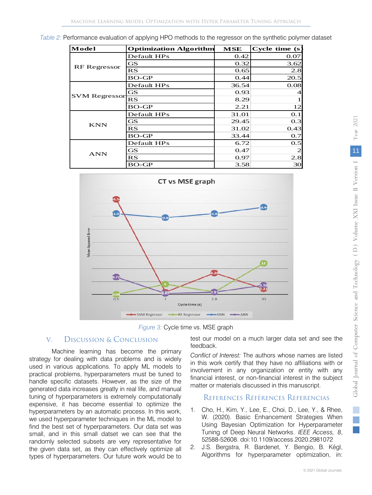*Table 2:* Performance evaluation of applying HPO methods to the regressor on the synthetic polymer dataset

| Model                | <b>Optimization Algorithm</b> | MSE   | Cycle time (s) |
|----------------------|-------------------------------|-------|----------------|
| <b>RF</b> Regressor  | Default HPs                   | 0.42  | 0.07           |
|                      | <b>GS</b>                     | 0.32  | 3.62           |
|                      | RS                            | 0.65  | 2.8            |
|                      | $BO-GP$                       | 0.44  | 20.5           |
| <b>SVM Regressor</b> | Default HPs                   | 36.54 | 0.08           |
|                      | <b>GS</b>                     | 0.93  | 4              |
|                      | RS                            | 8.29  |                |
|                      | $BO-GP$                       | 2.21  | 12             |
| <b>KNN</b>           | Default HPs                   | 31.01 | 0.1            |
|                      | GS                            | 29.45 | 0.3            |
|                      | RS                            | 31.02 | 0.43           |
|                      | $BO-GP$                       | 33.44 | 0.7            |
| <b>ANN</b>           | Default HPs                   | 6.72  | 0.5            |
|                      | <b>GS</b>                     | 0.47  | $\overline{c}$ |
|                      | RS                            | 0.97  | 2.8            |
|                      | BO-GP                         | 3.58  | 30             |



*Figure 3:* Cycle time vs. MSE graph

# V. Discussion & Conclusion

Machine learning has become the primary strategy for dealing with data problems and is widely used in various applications. To apply ML models to practical problems, hyperparameters must be tuned to handle specific datasets. However, as the size of the generated data increases greatly in real life, and manual tuning of hyperparameters is extremely computationally expensive, it has become essential to optimize the hyperparameters by an automatic process. In this work, we used hyperparameter techniques in the ML model to find the best set of hyperparameters. Our data set was small, and in this small datset we can see that the randomly selected subsets are very representative for the given data set, as they can effectively optimize all types of hyperparameters. Our future work would be to test our model on a much larger data set and see the feedback.

*Conflict of Interest:* The authors whose names are listed in this work certify that they have no affiliations with or involvement in any organization or entity with any financial interest, or non-financial interest in the subject matter or materials discussed in this manuscript.

## References Références Referencias

- 1. Cho, H., Kim, Y., Lee, E., Choi, D., Lee, Y., & Rhee, W. (2020). Basic Enhancement Strategies When Using Bayesian Optimization for Hyperparameter Tuning of Deep Neural Networks. *IEEE Access, 8*, 52588-52608. doi:10.1109/access.2020.2981072
- 2. J.S. Bergstra, R. Bardenet, Y. Bengio, B. Kégl, Algorithms for hyperparameter optimization, in: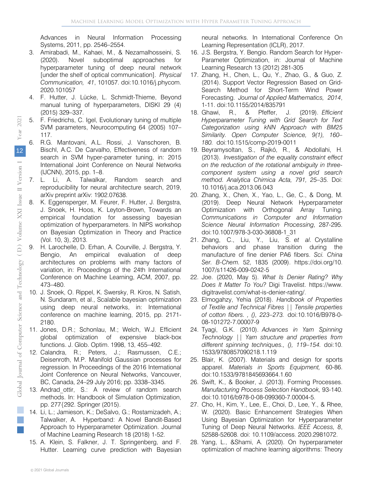Advances in Neural Information Processing Systems, 2011, pp. 2546–2554.

- 3. Amirabadi, M., Kahaei, M., & Nezamalhosseini, S. (2020). Novel suboptimal approaches for hyperparameter tuning of deep neural network [under the shelf of optical communication]. *Physical Communication, 41*, 101057. doi:10.1016/j.phycom. 2020.101057
- 4. F. Hutter, J. Lücke, L. Schmidt-Thieme, Beyond manual tuning of hyperparameters, DISKI 29 (4) (2015) 329–337.
- 5. F. Friedrichs, C. Igel, Evolutionary tuning of multiple SVM parameters, Neurocomputing 64 (2005) 107– 117.
- 6. R.G. Mantovani, A.L. Rossi, J. Vanschoren, B. Bischl, A.C. De Carvalho, Effectiveness of random search in SVM hyper-parameter tuning, in: 2015 International Joint Conference on Neural Networks (IJCNN), 2015, pp. 1–8.
- 7. L. Li, A. Talwalkar, Random search and reproducibility for neural architecture search, 2019, arXiv preprint arXiv: 1902.07638.
- 8. K. Eggensperger, M. Feurer, F. Hutter, J. Bergstra, J. Snoek, H. Hoos, K. Leyton-Brown, Towards an empirical foundation for assessing bayesian optimization of hyperparameters. In NIPS workshop on Bayesian Optimization in Theory and Practice (Vol. 10, 3), 2013.
- 9. H. Larochelle, D. Erhan, A. Courville, J. Bergstra, Y. Bengio, An empirical evaluation of deep architectures on problems with many factors of variation, in: Proceedings of the 24th International Conference on Machine Learning, ACM, 2007, pp. 473–480.
- 10. J. Snoek, O. Rippel, K. Swersky, R. Kiros, N. Satish, N. Sundaram, et al., Scalable bayesian optimization using deep neural networks, in: International conference on machine learning, 2015, pp. 2171- 2180.
- 11. Jones, D.R.; Schonlau, M.; Welch, W.J. Efficient global optimization of expensive black-box functions. J. Glob. Optim. 1998, 13, 455–492.
- 12. Calandra, R.; Peters, J.; Rasmussen, C.E.; Deisenroth, M.P. Manifold Gaussian processes for regression. In Proceedings of the 2016 International Joint Conference on Neural Networks, Vancouver, BC, Canada, 24–29 July 2016; pp. 3338–3345.
- 13. Andrad ottir, S.: A review of random search methods. In: Handbook of Simulation Optimization, pp. 277{292. Springer (2015).
- 14. Li, L.; Jamieson, K.; DeSalvo, G.; Rostamizadeh, A.; Talwalker, A. Hyperband: A Novel Bandit-Based Approach to Hyperparameter Optimization. Journal of Machine Learning Research 18 (2018) 1-52.
- 15. A. Klein, S. Falkner, J. T. Springenberg, and F. Hutter. Learning curve prediction with Bayesian

neural networks. In International Conference On Learning Representation (ICLR), 2017.

- 16. J.S. Bergstra, Y. Bengio. Random Search for Hyper-Parameter Optimization, in: Journal of Machine Learning Research 13 (2012) 281-305
- 17. Zhang, H., Chen, L., Qu, Y., Zhao, G., & Guo, Z. (2014). Support Vector Regression Based on Grid-Search Method for Short-Term Wind Power Forecasting. *Journal of Applied Mathematics, 2014*, 1-11. doi:10.1155/2014/835791
- 18. Ghawi, R., & Pfeffer, J. (2019). *Efficient Hyperparameter Tuning with Grid Search for Text Categorization using kNN Approach with BM25 Similarity. Open Computer Science, 9(1), 160– 180.* doi:10.1515/comp-2019-0011
- 19. Beyramysoltan, S., Rajkó, R., & Abdollahi, H. (2013). *Investigation of the equality constraint effect on the reduction of the rotational ambiguity in threecomponent system using a novel grid search method. Analytica Chimica Acta, 791, 25–35.* Doi: 10.1016/j.aca.2013.06.043
- 20. Zhang, X., Chen, X., Yao, L., Ge, C., & Dong, M. (2019). Deep Neural Network Hyperparameter Optimization with Orthogonal Array Tuning. *Communications in Computer and Information Science Neural Information Processing,* 287-295. doi:10.1007/978-3-030-36808-1\_31
- 21. Zhang, C., Liu, Y., Liu, S. *et al.* Crystalline behaviors and phase transition during the manufacture of fine denier PA6 fibers. *Sci. China Ser. B-Chem.* 52, 1835 (2009). https://doi.org/10. 1007/s11426-009-0242-5
- 22. Joe. (2020, May 5). *What Is Denier Rating? Why Does It Matter To You?* Digi Travelist. https://www. digitravelist.com/what-is-denier-rating/.
- 23. Elmogahzy, Yehia (2018). *Handbook of Properties of Textile and Technical Fibres || Tensile properties of cotton fibers. , (), 223–273.* doi:10.1016/B978-0- 08-101272-7.00007-9
- 24. Tyagi, G.K. (2010). *Advances in Yarn Spinning Technology || Yarn structure and properties from different spinning techniques., (), 119–154.* doi:10. 1533/9780857090218.1.119
- 25. Blair, K. (2007). Materials and design for sports apparel. *Materials in Sports Equipment,* 60-86. doi:10.1533/9781845693664.1.60
- 26. Swift, K., & Booker, J. (2013). Forming Processes. *Manufacturing Process Selection Handbook,* 93-140. doi:10.1016/b978-0-08-099360-7.00004-5.
- 27. Cho, H., Kim, Y., Lee, E., Choi, D., Lee, Y., & Rhee, W. (2020). Basic Enhancement Strategies When Using Bayesian Optimization for Hyperparameter Tuning of Deep Neural Networks. *IEEE Access, 8*, 52588-52608. doi: 10.1109/access. 2020.2981072.
- 28. Yang, L., &Shami, A. (2020). On hyperparameter optimization of machine learning algorithms: Theory